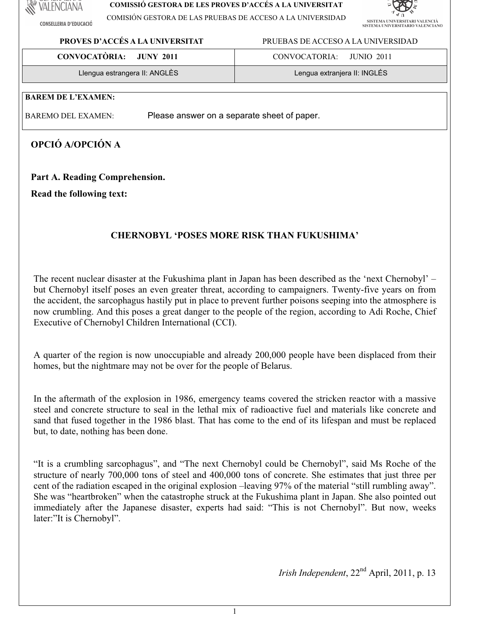# VALENCIANA

**CONSELLERIA D'EDUCACIÓ** 

#### **COMISSIÓ GESTORA DE LES PROVES D'ACCÉS A LA UNIVERSITAT**

COMISIÓN GESTORA DE LAS PRUEBAS DE ACCESO A LA UNIVERSIDAD



## **PROVES D'ACCÉS A LA UNIVERSITAT** PRUEBASDEACCESOALAUNIVERSIDAD

| <b>CONVOCATÒRIA:</b>          | CONVOCATORIA:                |
|-------------------------------|------------------------------|
| <b>JUNY 2011</b>              | JUNIO 2011                   |
| Llengua estrangera II: ANGLÈS | Lengua extranjera II: INGLÉS |

## **BAREM DE L'EXAMEN:**

BAREMO DEL EXAMEN: Please answer on a separate sheet of paper.

# **OPCIÓ A/OPCIÓN A**

## Part A. Reading Comprehension.

**Read the following text:** 

# **CHERNOBYL 'POSES MORE RISK THAN FUKUSHIMA'**

The recent nuclear disaster at the Fukushima plant in Japan has been described as the 'next Chernobyl' – but Chernobyl itself poses an even greater threat, according to campaigners. Twenty-five years on from the accident, the sarcophagus hastily put in place to prevent further poisons seeping into the atmosphere is now crumbling. And this poses a great danger to the people of the region, according to Adi Roche, Chief Executive of Chernobyl Children International (CCI).

A quarter of the region is now unoccupiable and already 200,000 people have been displaced from their homes, but the nightmare may not be over for the people of Belarus.

In the aftermath of the explosion in 1986, emergency teams covered the stricken reactor with a massive steel and concrete structure to seal in the lethal mix of radioactive fuel and materials like concrete and sand that fused together in the 1986 blast. That has come to the end of its lifespan and must be replaced but, to date, nothing has been done.

"It is a crumbling sarcophagus", and "The next Chernobyl could be Chernobyl", said Ms Roche of the structure of nearly 700,000 tons of steel and 400,000 tons of concrete. She estimates that just three per cent of the radiation escaped in the original explosion–leaving 97% of the material "still rumbling away". She was "heartbroken" when the catastrophe struck at the Fukushima plant in Japan. She also pointed out immediately after the Japanese disaster, experts had said: "This is not Chernobyl". But now, weeks later:"It is Chernobyl".

*Irish Independent*, 22<sup>nd</sup> April, 2011, p. 13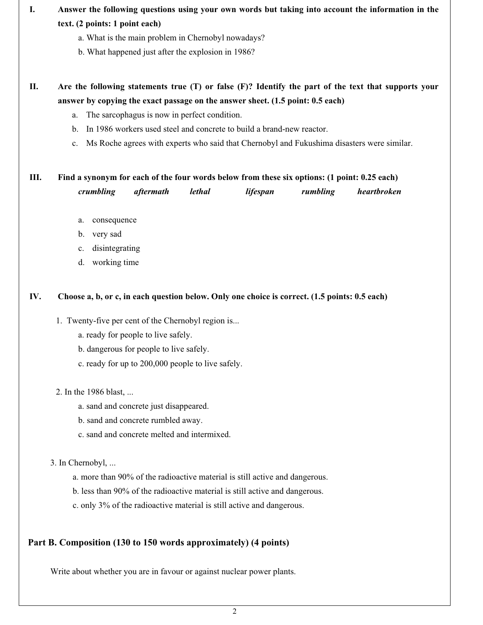# I. Answer the following questions using your own words but taking into account the information in the **text.(2points:1pointeach)**

- a. What is the main problem in Chernobyl nowadays?
- b. What happened just after the explosion in 1986?

# II. Are the following statements true (T) or false (F)? Identify the part of the text that supports your answer by copying the exact passage on the answer sheet. (1.5 point: 0.5 each)

- a. The sarcophagus is now in perfect condition.
- b. In 1986 workers used steel and concrete to build a brand-new reactor.
- c. Ms Roche agrees with experts who said that Chernobyl and Fukushima disasters were similar.

## **III.** Find a synonym for each of the four words below from these six options: (1 point: 0.25 each) *crumbling aftermath lethal lifespan rumbling heartbroken*

- a. consequence
- b. verysad
- c. disintegrating
- d. working time

#### **IV.** Choose a, b, or c, in each question below. Only one choice is correct. (1.5 points: 0.5 each)

- 1. Twenty-five per cent of the Chernobyl region is...
	- a. ready for people to live safely.
	- b. dangerous for people to live safely.
	- c. ready for up to 200,000 people to live safely.
- 2. In the 1986 blast, ...
	- a. sand and concrete just disappeared.
	- b. sand and concrete rumbled away.
	- c. sand and concrete melted and intermixed.

3.InChernobyl,...

- a. more than 90% of the radioactive material is still active and dangerous.
- b. less than 90% of the radioactive material is still active and dangerous.
- c. only 3% of the radioactive material is still active and dangerous.

## Part B. Composition (130 to 150 words approximately) (4 points)

Write about whether you are in favour or against nuclear power plants.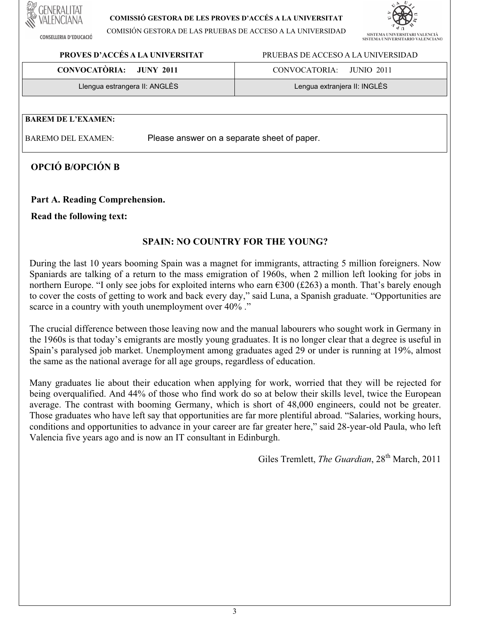**CONSELLERIA D'EDUCACIÓ** 

#### **COMISSIÓ GESTORA DE LES PROVES D'ACCÉS A LA UNIVERSITAT**

COMISIÓN GESTORA DE LAS PRUEBAS DE ACCESO A LA UNIVERSIDAD



**PROVES D'ACCÉS A LA UNIVERSITAT** PRUEBASDEACCESOALAUNIVERSIDAD

| <b>CONVOCATÒRIA:</b>          | CONVOCATORIA:                |
|-------------------------------|------------------------------|
| JUNY 2011                     | JUNIO 2011                   |
| Llengua estrangera II: ANGLÈS | Lengua extranjera II: INGLÉS |

#### **BAREM DE L'EXAMEN:**

BAREMO DEL EXAMEN: Please answer on a separate sheet of paper.

## **OPCIÓ B/OPCIÓN B**

### Part A. Reading Comprehension.

### **Read the following text:**

## **SPAIN:NO COUNTRY FOR THE YOUNG?**

During the last 10 years booming Spain was a magnet for immigrants, attracting 5 million foreigners. Now Spaniards are talking of a return to the mass emigration of 1960s, when 2 million left looking for jobs in northern Europe. "I only see jobs for exploited interns who earn  $€300$  (£263) a month. That's barely enough to cover the costs of getting to work and back every day," said Luna, a Spanish graduate. "Opportunities are scarce in a country with youth unemployment over 40% ."

The crucial difference between those leaving now and the manual labourers who sought work in Germany in the 1960s is that today's emigrants are mostly young graduates. It is no longer clear that a degree is useful in Spain's paralysed job market. Unemployment among graduates aged 29 or under is running at 19%, almost the same as the national average for all age groups, regardless of education.

Many graduates lie about their education when applying for work, worried that they will be rejected for being overqualified. And 44% of those who find work do so at below their skills level, twice the European average. The contrast with booming Germany, which is short of 48,000 engineers, could not be greater. Those graduates who have left say that opportunities are far more plentiful abroad. "Salaries, working hours, conditions and opportunities to advance in your career are far greater here," said 28-year-old Paula, who left Valencia five years ago and is now an IT consultant in Edinburgh.

Giles Tremlett, *The Guardian*, 28<sup>th</sup> March, 2011